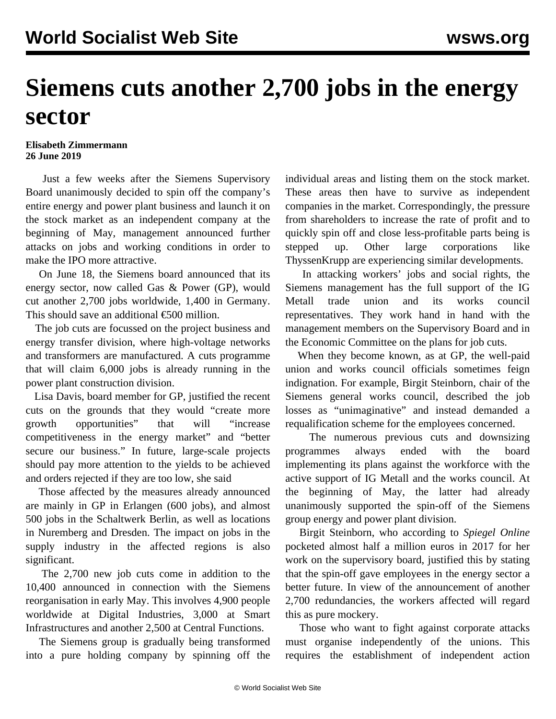## **Siemens cuts another 2,700 jobs in the energy sector**

## **Elisabeth Zimmermann 26 June 2019**

 Just a few weeks after the Siemens Supervisory Board unanimously [decided to spin off](/en/articles/2019/05/15/siem-m15.html) the company's entire energy and power plant business and launch it on the stock market as an independent company at the beginning of May, management announced further attacks on jobs and working conditions in order to make the IPO more attractive.

 On June 18, the Siemens board announced that its energy sector, now called Gas & Power (GP), would cut another 2,700 jobs worldwide, 1,400 in Germany. This should save an additional  $\epsilon$ 500 million.

 The job cuts are focussed on the project business and energy transfer division, where high-voltage networks and transformers are manufactured. A cuts programme that will claim 6,000 jobs is already running in the power plant construction division.

 Lisa Davis, board member for GP, justified the recent cuts on the grounds that they would "create more growth opportunities" that will "increase competitiveness in the energy market" and "better secure our business." In future, large-scale projects should pay more attention to the yields to be achieved and orders rejected if they are too low, she said

 Those affected by the measures already announced are mainly in GP in Erlangen (600 jobs), and almost 500 jobs in the Schaltwerk Berlin, as well as locations in Nuremberg and Dresden. The impact on jobs in the supply industry in the affected regions is also significant.

 The 2,700 new job cuts come in addition to the 10,400 announced in connection with the Siemens reorganisation in early May. This involves 4,900 people worldwide at Digital Industries, 3,000 at Smart Infrastructures and another 2,500 at Central Functions.

 The Siemens group is gradually being transformed into a pure holding company by spinning off the individual areas and listing them on the stock market. These areas then have to survive as independent companies in the market. Correspondingly, the pressure from shareholders to increase the rate of profit and to quickly spin off and close less-profitable parts being is stepped up. Other large corporations like [ThyssenKrupp](/en/articles/2019/05/14/thys-m14.html) are experiencing similar developments.

 In attacking workers' jobs and social rights, the Siemens management has the full support of the IG Metall trade union and its works council representatives. They work hand in hand with the management members on the Supervisory Board and in the Economic Committee on the plans for job cuts.

 When they become known, as at GP, the well-paid union and works council officials sometimes feign indignation. For example, Birgit Steinborn, chair of the Siemens general works council, described the job losses as "unimaginative" and instead demanded a requalification scheme for the employees concerned.

 The numerous previous cuts and downsizing programmes always ended with the board implementing its plans against the workforce with the active support of IG Metall and the works council. At the beginning of May, the latter had already unanimously supported the spin-off of the Siemens group energy and power plant division.

 Birgit Steinborn, who according to *Spiegel Online* pocketed almost half a million euros in 2017 for her work on the supervisory board, justified this by stating that the spin-off gave employees in the energy sector a better future. In view of the announcement of another 2,700 redundancies, the workers affected will regard this as pure mockery.

 Those who want to fight against corporate attacks must organise independently of the unions. This requires the establishment of independent action